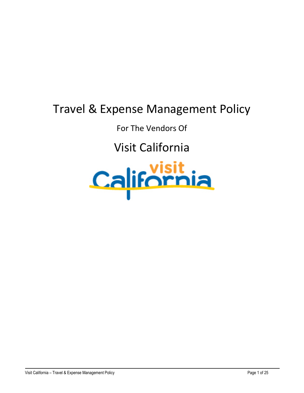# Travel & Expense Management Policy

For The Vendors Of

Visit California

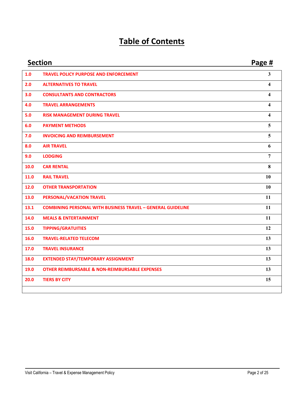# **Table of Contents**

|      | <b>Section</b>                                                     | Page #                  |
|------|--------------------------------------------------------------------|-------------------------|
| 1.0  | <b>TRAVEL POLICY PURPOSE AND ENFORCEMENT</b>                       | 3                       |
| 2.0  | <b>ALTERNATIVES TO TRAVEL</b>                                      | 4                       |
| 3.0  | <b>CONSULTANTS AND CONTRACTORS</b>                                 | 4                       |
| 4.0  | <b>TRAVEL ARRANGEMENTS</b>                                         | 4                       |
| 5.0  | <b>RISK MANAGEMENT DURING TRAVEL</b>                               | $\overline{\mathbf{4}}$ |
| 6.0  | <b>PAYMENT METHODS</b>                                             | 5                       |
| 7.0  | <b>INVOICING AND REIMBURSEMENT</b>                                 | 5                       |
| 8.0  | <b>AIR TRAVEL</b>                                                  | 6                       |
| 9.0  | <b>LODGING</b>                                                     | $\overline{7}$          |
| 10.0 | <b>CAR RENTAL</b>                                                  | 8                       |
| 11.0 | <b>RAIL TRAVEL</b>                                                 | 10                      |
| 12.0 | <b>OTHER TRANSPORTATION</b>                                        | 10                      |
| 13.0 | PERSONAL/VACATION TRAVEL                                           | 11                      |
| 13.1 | <b>COMBINING PERSONAL WITH BUSINESS TRAVEL - GENERAL GUIDELINE</b> | 11                      |
| 14.0 | <b>MEALS &amp; ENTERTAINMENT</b>                                   | 11                      |
| 15.0 | <b>TIPPING/GRATUITIES</b>                                          | 12                      |
| 16.0 | <b>TRAVEL-RELATED TELECOM</b>                                      | 13                      |
| 17.0 | <b>TRAVEL INSURANCE</b>                                            | 13                      |
| 18.0 | <b>EXTENDED STAY/TEMPORARY ASSIGNMENT</b>                          | 13                      |
| 19.0 | <b>OTHER REIMBURSABLE &amp; NON-REIMBURSABLE EXPENSES</b>          | 13                      |
| 20.0 | <b>TIERS BY CITY</b>                                               | 15                      |
|      |                                                                    |                         |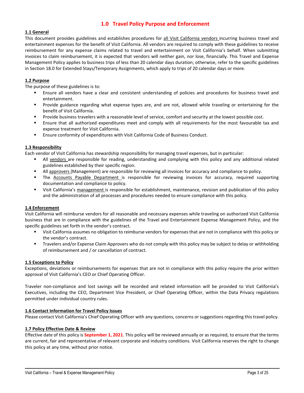# <span id="page-2-0"></span>**1.0 Travel Policy Purpose and Enforcement**

#### **1.1 General**

This document provides guidelines and establishes procedures for all Visit California vendors incurring business travel and entertainment expenses for the benefit of Visit California. All vendors are required to comply with these guidelines to receive reimbursement for any expense claims related to travel and entertainment on Visit California's behalf. When submitting invoices to claim reimbursement, it is expected that vendors will neither gain, nor lose, financially. This Travel and Expense Management Policy applies to business trips of less than 20 calendar days duration; otherwise, refer to the specific guidelines in Section 18.0 for Extended Stays/Temporary Assignments, which apply to trips of 20 calendar days or more.

#### **1.2 Purpose**

The purpose of these guidelines is to:

- Ensure all vendors have a clear and consistent understanding of policies and procedures for business travel and entertainment.
- Provide guidance regarding what expense types are, and are not, allowed while traveling or entertaining for the benefit of Visit California.
- Provide business travelers with a reasonable level of service, comfort and security at the lowest possible cost.
- Ensure that all authorized expenditures meet and comply with all requirements for the most favourable tax and expense treatment for Visit California.
- Ensure conformity of expenditures with Visit California Code of Business Conduct.

#### **1.3 Responsibility**

Each vendor of Visit California has stewardship responsibility for managing travel expenses, but in particular:

- All vendors are responsible for reading, understanding and complying with this policy and any additional related guidelines established by their specific region.
- All approvers (Management) are responsible for reviewing all invoices for accuracy and compliance to policy.
- **The Accounts Payable Department is responsible for reviewing invoices for accuracy, required supporting** documentation and compliance to policy.
- Visit California's management is responsible for establishment, maintenance, revision and publication of this policy and the administration of all processes and procedures needed to ensure compliance with this policy.

#### **1.4 Enforcement**

Visit California will reimburse vendors for all reasonable and necessary expenses while traveling on authorized Visit California business that are in compliance with the guidelines of the Travel and Entertainment Expense Management Policy, and the specific guidelines set forth in the vendor's contract.

- Visit California assumes no obligation to reimburse vendors for expenses that are not in compliance with this policy or the vendor's contract.
- **Travelers and/or Expense Claim Approvers who do not comply with this policy may be subject to delay or withholding** of reimbursement and / or cancellation of contract.

#### **1.5 Exceptions to Policy**

Exceptions, deviations or reimbursements for expenses that are not in compliance with this policy require the prior written approval of Visit California's CEO or Chief Operating Officer.

Traveler non-compliance and lost savings will be recorded and related information will be provided to Visit California's Executives, including the CEO, Department Vice President, or Chief Operating Officer, within the Data Privacy regulations permitted under individual country rules.

#### **1.6 Contact Information for Travel Policy Issues**

Please contact Visit California's Chief Operating Officer with any questions, concerns or suggestions regarding this travel policy.

#### **1.7 Policy Effective Date & Review**

Effective date of this policy is **September 1, 2021**. This policy will be reviewed annually or as required, to ensure that the terms are current, fair and representative of relevant corporate and industry conditions. Visit California reserves the right to change this policy at any time, without prior notice.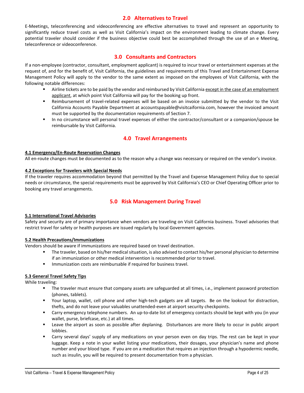# <span id="page-3-0"></span>**2.0 Alternatives to Travel**

E-Meetings, teleconferencing and videoconferencing are effective alternatives to travel and represent an opportunity to significantly reduce travel costs as well as Visit California's impact on the environment leading to climate change. Every potential traveler should consider if the business objective could best be accomplished through the use of an e Meeting, teleconference or videoconference.

# <span id="page-3-1"></span>**3.0 Consultants and Contractors**

If a non-employee (contractor, consultant, employment applicant) is required to incur travel or entertainment expenses at the request of, and for the benefit of, Visit California, the guidelines and requirements of this Travel and Entertainment Expense Management Policy will apply to the vendor to the same extent as imposed on the employees of Visit California, with the following notable differences:

- Airline tickets are to be paid by the vendor and reimbursed by Visit California except in the case of an employment applicant, at which point Visit California will pay for the booking up front.
- Reimbursement of travel-related expenses will be based on an invoice submitted by the vendor to the Visit California Accounts Payable Department at [accountspayable@visitcaifornia.com,](mailto:accountspayable@visitcalifornia.com) however the invoiced amount must be supported by the documentation requirements of Section 7.
- In no circumstance will personal travel expenses of either the contractor/consultant or a companion/spouse be reimbursable by Visit California.

# <span id="page-3-2"></span>**4.0 Travel Arrangements**

#### **4.1 Emergency/En-Route Reservation Changes**

All en-route changes must be documented as to the reason why a change was necessary or required on the vendor's invoice.

#### **4.2 Exceptions for Travelers with Special Needs**

If the traveler requires accommodation beyond that permitted by the Travel and Expense Management Policy due to special needs or circumstance, the special requirements must be approved by Visit California's CEO or Chief Operating Officer prior to booking any travel arrangements.

# <span id="page-3-3"></span>**5.0 Risk Management During Travel**

#### **5.1 International Travel Advisories**

Safety and security are of primary importance when vendors are traveling on Visit California business. Travel advisories that restrict travel for safety or health purposes are issued regularly by local Government agencies.

#### **5.2 Health Precautions/Immunizations**

Vendors should be aware if immunizations are required based on travel destination.

- The traveler, based on his/her medical situation, is also advised to contact his/her personal physician to determine if an immunization or other medical intervention is recommended prior to travel.
- **IMMUNIFY 1.5 Immunization costs are reimbursable if required for business travel.**

#### **5.3 General Travel Safety Tips**

While traveling:

- The traveler must ensure that company assets are safeguarded at all times, i.e., implement password protection (phones, tablets).
- Your laptop, wallet, cell phone and other high-tech gadgets are all targets. Be on the lookout for distraction, thefts, and do not leave your valuables unattended-even at airport security checkpoints.
- Carry emergency telephone numbers. An up-to-date list of emergency contacts should be kept with you (in your wallet, purse, briefcase, etc.) at all times.
- Leave the airport as soon as possible after deplaning. Disturbances are more likely to occur in public airport lobbies.
- Carry several days' supply of any medications on your person even on day trips. The rest can be kept in your luggage. Keep a note in your wallet listing your medications, their dosages, your physician's name and phone number and your blood type. If you are on a medication that requires an injection through a hypodermic needle, such as insulin, you will be required to present documentation from a physician.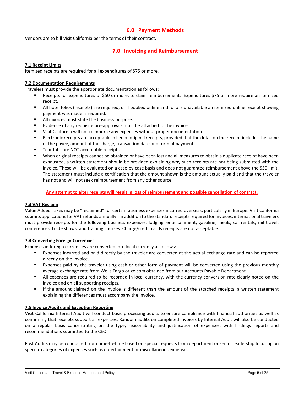# <span id="page-4-0"></span>**6.0 Payment Methods**

Vendors are to bill Visit California per the terms of their contract.

# <span id="page-4-1"></span>**7.0 Invoicing and Reimbursement**

#### **7.1 Receipt Limits**

Itemized receipts are required for all expenditures of \$75 or more.

#### **7.2 Documentation Requirements**

Travelers must provide the appropriate documentation as follows:

- Receipts for expenditures of \$50 or more, to claim reimbursement. Expenditures \$75 or more require an itemized receipt.
- All hotel folios (receipts) are required, or if booked online and folio is unavailable an itemized online receipt showing payment was made is required.
- All invoices must state the business purpose.
- Evidence of any requisite pre-approvals must be attached to the invoice.
- Visit California will not reimburse any expenses without proper documentation.
- Electronic receipts are acceptable in lieu of original receipts, provided that the detail on the receipt includes the name of the payee, amount of the charge, transaction date and form of payment.
- Tear tabs are NOT acceptable receipts.
- When original receipts cannot be obtained or have been lost and all measures to obtain a duplicate receipt have been exhausted, a written statement should be provided explaining why such receipts are not being submitted with the invoice. These will be evaluated on a case-by-case basis and does not guarantee reimbursement above the \$50 limit. The statement must include a certification that the amount shown is the amount actually paid and that the traveler has not and will not seek reimbursement from any other source.

#### **Any attempt to alter receipts will result in loss of reimbursement and possible cancellation of contract.**

#### **7.3 VAT Reclaim**

Value Added Taxes may be "reclaimed" for certain business expenses incurred overseas, particularly in Europe. Visit California submits applications for VAT refunds annually. In addition to the standard receipts required for invoices, international travelers must provide receipts for the following business expenses: lodging, entertainment, gasoline, meals, car rentals, rail travel, conferences, trade shows, and training courses. Charge/credit cards receipts are not acceptable.

#### **7.4 Converting Foreign Currencies**

Expenses in foreign currencies are converted into local currency as follows:

- Expenses incurred and paid directly by the traveler are converted at the actual exchange rate and can be reported directly on the Invoice.
- Expenses paid by the traveler using cash or other form of payment will be converted using the previous monthly average exchange rate from Wells Fargo or xe.com obtained from our Accounts Payable Department.
- All expenses are required to be recorded in local currency, with the currency conversion rate clearly noted on the invoice and on all supporting receipts.
- If the amount claimed on the invoice is different than the amount of the attached receipts, a written statement explaining the differences must accompany the invoice.

#### **7.5 Invoice Audits and Exception Reporting**

Visit California Internal Audit will conduct basic processing audits to ensure compliance with financial authorities as well as confirming that receipts support all expenses. Random audits on completed invoices by Internal Audit will also be conducted on a regular basis concentrating on the type, reasonability and justification of expenses, with findings reports and recommendations submitted to the CEO.

Post Audits may be conducted from time-to-time based on special requests from department or senior leadership focusing on specific categories of expenses such as entertainment or miscellaneous expenses.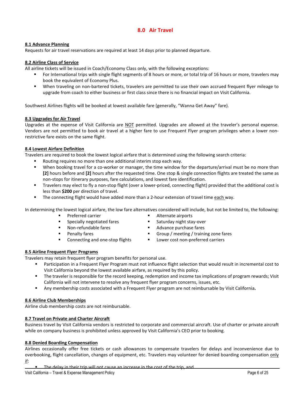# <span id="page-5-0"></span>**8.0 Air Travel**

#### **8.1 Advance Planning**

Requests for air travel reservations are required at least 14 days prior to planned departure.

#### **8.2 Airline Class of Service**

All airline tickets will be issued in Coach/Economy Class only, with the following exceptions:

- For International trips with single flight segments of 8 hours or more, or total trip of 16 hours or more, travelers may book the equivalent of Economy Plus.
- When traveling on non-bartered tickets, travelers are permitted to use their own accrued frequent flyer mileage to upgrade from coach to either business or first class since there is no financial impact on Visit California.

Southwest Airlines flights will be booked at lowest available fare (generally, "Wanna Get Away" fare).

#### **8.3 Upgrades for Air Travel**

Upgrades at the expense of Visit California are NOT permitted. Upgrades are allowed at the traveler's personal expense. Vendors are not permitted to book air travel at a higher fare to use Frequent Flyer program privileges when a lower nonrestrictive fare exists on the same flight.

#### **8.4 Lowest Airfare Definition**

Travelers are required to book the lowest logical airfare that is determined using the following search criteria:

- Routing requires no more than one additional interim stop each way.
	- When booking travel for a co-worker or manager, the time window for the departure/arrival must be no more than **[2]** hours before and **[2]** hours after the requested time. One stop & single connection flights are treated the same as non-stops for itinerary purposes, fare calculations, and lowest fare identification.
- Travelers may elect to fly a non-stop flight (over a lower-priced, connecting flight) provided that the additional cost is less than **\$200** per direction of travel.
- The connecting flight would have added more than a 2-hour extension of travel time each way.

In determining the lowest logical airfare, the low fare alternatives considered will include, but not be limited to, the following:

- Preferred carrier
- Specially negotiated fares
- Non-refundable fares
- **Penalty fares** 
	- Connecting and one-stop flights
- **Alternate airports**
- Saturday night stay-over
- Advance purchase fares
- **Group / meeting / training zone fares**
- **Lower cost non-preferred carriers**

## **8.5 Airline Frequent Flyer Programs**

Travelers may retain frequent flyer program benefits for personal use.

- Participation in a Frequent Flyer Program must not influence flight selection that would result in incremental cost to Visit California beyond the lowest available airfare, as required by this policy.
- The traveler is responsible for the record keeping, redemption and income tax implications of program rewards; Visit California will not intervene to resolve any frequent flyer program concerns, issues, etc.
- Any membership costs associated with a Frequent Flyer program are not reimbursable by Visit California**.**

#### **8.6 Airline Club Memberships**

Airline club membership costs are not reimbursable.

## **8.7 Travel on Private and Charter Aircraft**

Business travel by Visit California vendors is restricted to corporate and commercial aircraft. Use of charter or private aircraft while on company business is prohibited unless approved by Visit California's CEO prior to booking.

#### **8.8 Denied Boarding Compensation**

Airlines occasionally offer free tickets or cash allowances to compensate travelers for delays and inconvenience due to overbooking, flight cancellation, changes of equipment, etc. Travelers may volunteer for denied boarding compensation only if: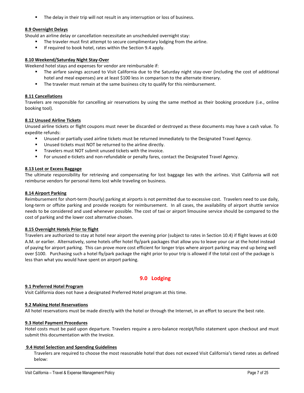The delay in their trip will not result in any interruption or loss of business.

#### **8.9 Overnight Delays**

Should an airline delay or cancellation necessitate an unscheduled overnight stay:

- The traveler must first attempt to secure complimentary lodging from the airline.
- If required to book hotel, rates within the Section 9.4 apply.

#### **8.10 Weekend/Saturday Night Stay-Over**

Weekend hotel stays and expenses for vendor are reimbursable if:

- The airfare savings accrued to Visit California due to the Saturday night stay-over (including the cost of additional hotel and meal expenses) are at least \$100 less in comparison to the alternate itinerary.
- **The traveler must remain at the same business city to qualify for this reimbursement.**

#### **8.11 Cancellations**

Travelers are responsible for cancelling air reservations by using the same method as their booking procedure (i.e., online booking tool).

#### **8.12 Unused Airline Tickets**

Unused airline tickets or flight coupons must never be discarded or destroyed as these documents may have a cash value. To expedite refunds:

- Unused or partially used airline tickets must be returned immediately to the Designated Travel Agency.
- Unused tickets must NOT be returned to the airline directly.
- Travelers must NOT submit unused tickets with the invoice.
- For unused e-tickets and non-refundable or penalty fares, contact the Designated Travel Agency.

#### **8.13 Lost or Excess Baggage**

The ultimate responsibility for retrieving and compensating for lost baggage lies with the airlines. Visit California will not reimburse vendors for personal items lost while traveling on business.

#### **8.14 Airport Parking**

Reimbursement for short-term (hourly) parking at airports is not permitted due to excessive cost. Travelers need to use daily, long-term or offsite parking and provide receipts for reimbursement. In all cases, the availability of airport shuttle service needs to be considered and used whenever possible. The cost of taxi or airport limousine service should be compared to the cost of parking and the lower cost alternative chosen.

#### **8.15 Overnight Hotels Prior to flight**

Travelers are authorized to stay at hotel near airport the evening prior (subject to rates in Section 10.4) if flight leaves at 6:00 A.M. or earlier. Alternatively, some hotels offer hotel fly/park packages that allow you to leave your car at the hotel instead of paying for airport parking. This can prove more cost efficient for longer trips where airport parking may end up being well over \$100. Purchasing such a hotel fly/park package the night prior to your trip is allowed if the total cost of the package is less than what you would have spent on airport parking.

# <span id="page-6-0"></span>**9.0 Lodging**

#### **9.1 Preferred Hotel Program**

Visit California does not have a designated Preferred Hotel program at this time.

#### **9.2 Making Hotel Reservations**

All hotel reservations must be made directly with the hotel or through the Internet, in an effort to secure the best rate.

#### **9.3 Hotel Payment Procedures**

Hotel costs must be paid upon departure. Travelers require a zero-balance receipt/folio statement upon checkout and must submit this documentation with the Invoice.

#### **9.4 Hotel Selection and Spending Guidelines**

Travelers are required to choose the most reasonable hotel that does not exceed Visit California's tiered rates as defined below: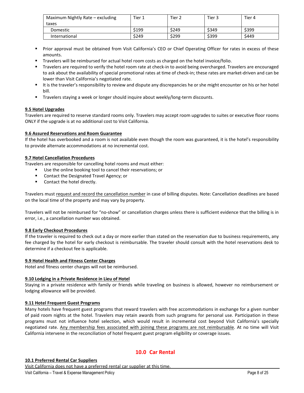| Maximum Nightly Rate - excluding | Tier 1 | Tier $\lambda$ | Tier 3 | Tier 4 |
|----------------------------------|--------|----------------|--------|--------|
| taxes                            |        |                |        |        |
| Domestic                         | \$199  | \$249          | \$349  | \$399  |
| International                    | \$249  | \$299          | \$399  | \$449  |

- Prior approval must be obtained from Visit California's CEO or Chief Operating Officer for rates in excess of these amounts.
- Travelers will be reimbursed for actual hotel room costs as charged on the hotel invoice/folio.
- Travelers are required to verify the hotel room rate at check-in to avoid being overcharged. Travelers are encouraged to ask about the availability of special promotional rates at time of check-in; these rates are market-driven and can be lower than Visit California's negotiated rate.
- It is the traveler's responsibility to review and dispute any discrepancies he or she might encounter on his or her hotel bill.
- Travelers staying a week or longer should inquire about weekly/long-term discounts.

#### **9.5 Hotel Upgrades**

Travelers are required to reserve standard rooms only. Travelers may accept room upgrades to suites or executive floor rooms ONLY if the upgrade is at no additional cost to Visit California.

#### **9.6 Assured Reservations and Room Guarantee**

If the hotel has overbooked and a room is not available even though the room was guaranteed, it is the hotel's responsibility to provide alternate accommodations at no incremental cost.

#### **9.7 Hotel Cancellation Procedures**

Travelers are responsible for cancelling hotel rooms and must either:

- Use the online booking tool to cancel their reservations; or
	- Contact the Designated Travel Agency; or
	- Contact the hotel directly.

Travelers must request and record the cancellation number in case of billing disputes. Note: Cancellation deadlines are based on the local time of the property and may vary by property.

Travelers will not be reimbursed for "no-show" or cancellation charges unless there is sufficient evidence that the billing is in error, i.e., a cancellation number was obtained.

#### **9.8 Early Checkout Procedures**

If the traveler is required to check out a day or more earlier than stated on the reservation due to business requirements, any fee charged by the hotel for early checkout is reimbursable. The traveler should consult with the hotel reservations desk to determine if a checkout fee is applicable.

#### **9.9 Hotel Health and Fitness Center Charges**

Hotel and fitness center charges will not be reimbursed.

#### **9.10 Lodging in a Private Residence in Lieu of Hotel**

Staying in a private residence with family or friends while traveling on business is allowed, however no reimbursement or lodging allowance will be provided.

#### **9.11 Hotel Frequent Guest Programs**

Many hotels have frequent guest programs that reward travelers with free accommodations in exchange for a given number of paid room nights at the hotel. Travelers may retain awards from such programs for personal use. Participation in these programs must not influence hotel selection, which would result in incremental cost beyond Visit California's specially negotiated rate. Any membership fees associated with joining these programs are not reimbursable. At no time will Visit California intervene in the reconciliation of hotel frequent guest program eligibility or coverage issues.

# <span id="page-7-0"></span>**10.0 Car Rental**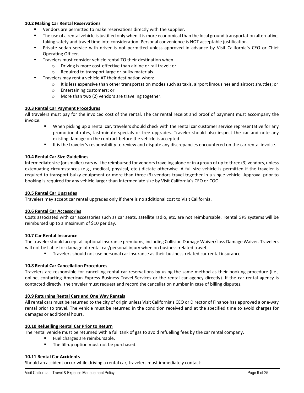#### **10.2 Making Car Rental Reservations**

- Vendors are permitted to make reservations directly with the supplier.
- The use of a rental vehicle is justified only when it is more economical than the local ground transportation alternative, taking safety and travel time into consideration. Personal convenience is NOT acceptable justification.
- Private sedan service with driver is not permitted unless approved in advance by Visit California's CEO or Chief Operating Officer.
- Travelers must consider vehicle rental TO their destination when:
	- o Driving is more cost-effective than airline or rail travel; or
	- o Required to transport large or bulky materials.
- Travelers may rent a vehicle AT their destination when:
	- $\circ$  It is less expensive than other transportation modes such as taxis, airport limousines and airport shuttles; or
	- o Entertaining customers; or
	- o More than two (2) vendors are traveling together.

#### **10.3 Rental Car Payment Procedures**

All travelers must pay for the invoiced cost of the rental. The car rental receipt and proof of payment must accompany the invoice.

- When picking up a rental car, travelers should check with the rental car customer service representative for any promotional rates, last-minute specials or free upgrades. Traveler should also inspect the car and note any existing damage on the contract before the vehicle is accepted.
- It is the traveler's responsibility to review and dispute any discrepancies encountered on the car rental invoice.

#### **10.4 Rental Car Size Guidelines**

Intermediate size (or smaller) cars will be reimbursed for vendors traveling alone or in a group of up to three (3) vendors, unless extenuating circumstances (e.g., medical, physical, etc.) dictate otherwise. A full-size vehicle is permitted if the traveler is required to transport bulky equipment or more than three (3) vendors travel together in a single vehicle. Approval prior to booking is required for any vehicle larger than Intermediate size by Visit California's CEO or COO.

#### **10.5 Rental Car Upgrades**

Travelers may accept car rental upgrades only if there is no additional cost to Visit California.

#### **10.6 Rental Car Accessories**

Costs associated with car accessories such as car seats, satellite radio, etc. are not reimbursable. Rental GPS systems will be reimbursed up to a maximum of \$10 per day.

#### **10.7 Car Rental Insurance**

The traveler should accept all optional insurance premiums, including Collision Damage Waiver/Loss Damage Waiver. Travelers will not be liable for damage of rental car/personal injury when on business-related travel.

Travelers should not use personal car insurance as their business-related car rental insurance.

#### **10.8 Rental Car Cancellation Procedures**

Travelers are responsible for cancelling rental car reservations by using the same method as their booking procedure (i.e., online, contacting American Express Business Travel Services or the rental car agency directly). If the car rental agency is contacted directly, the traveler must request and record the cancellation number in case of billing disputes.

#### **10.9 Returning Rental Cars and One Way Rentals**

All rental cars must be returned to the city of origin unless Visit California's CEO or Director of Finance has approved a one-way rental prior to travel. The vehicle must be returned in the condition received and at the specified time to avoid charges for damages or additional hours.

#### **10.10 Refuelling Rental Car Prior to Return**

The rental vehicle must be returned with a full tank of gas to avoid refuelling fees by the car rental company.

- Fuel charges are reimbursable.
- The fill-up option must not be purchased.

#### **10.11 Rental Car Accidents**

Should an accident occur while driving a rental car, travelers must immediately contact: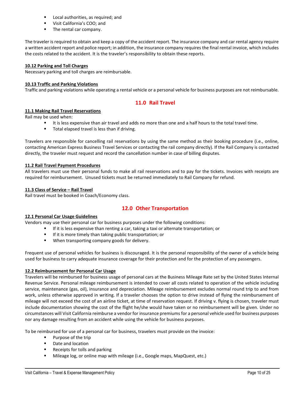- Local authorities, as required; and
- **UPICALLA** Visit California's COO; and
- The rental car company.

The traveler is required to obtain and keep a copy of the accident report. The insurance company and car rental agency require a written accident report and police report; in addition, the insurance company requires the final rental invoice, which includes the costs related to the accident. It is the traveler's responsibility to obtain these reports.

#### **10.12 Parking and Toll Charges**

Necessary parking and toll charges are reimbursable.

#### **10.13 Traffic and Parking Violations**

Traffic and parking violations while operating a rental vehicle or a personal vehicle for business purposes are not reimbursable.

# <span id="page-9-0"></span>**11.0 Rail Travel**

#### **11.1 Making Rail Travel Reservations**

Rail may be used when:

- It is less expensive than air travel and adds no more than one and a half hours to the total travel time.
- **Total elapsed travel is less than if driving.**

Travelers are responsible for cancelling rail reservations by using the same method as their booking procedure (i.e., online, contacting American Express Business Travel Services or contacting the rail company directly). If the Rail Company is contacted directly, the traveler must request and record the cancellation number in case of billing disputes.

#### **11.2 Rail Travel Payment Procedures**

All travelers must use their personal funds to make all rail reservations and to pay for the tickets. Invoices with receipts are required for reimbursement. Unused tickets must be returned immediately to Rail Company for refund.

#### **11.3 Class of Service – Rail Travel**

Rail travel must be booked in Coach/Economy class.

# <span id="page-9-1"></span>**12.0 Other Transportation**

#### **12.1 Personal Car Usage Guidelines**

Vendors may use their personal car for business purposes under the following conditions:

- If it is less expensive than renting a car, taking a taxi or alternate transportation; or
- If it is more timely than taking public transportation; or
- When transporting company goods for delivery.

Frequent use of personal vehicles for business is discouraged. It is the personal responsibility of the owner of a vehicle being used for business to carry adequate insurance coverage for their protection and for the protection of any passengers.

#### **12.2 Reimbursement for Personal Car Usage**

Travelers will be reimbursed for business usage of personal cars at the Business Mileage Rate set by the United States Internal Revenue Service. Personal mileage reimbursement is intended to cover all costs related to operation of the vehicle including service, maintenance (gas, oil), insurance and depreciation. Mileage reimbursement excludes normal round trip to and from work, unless otherwise approved in writing. If a traveler chooses the option to drive instead of flying the reimbursement of mileage will not exceed the cost of an airline ticket, at time of reservation request. If driving v. flying is chosen, traveler must include documentation showing the cost of the flight he/she would have taken or no reimbursement will be given. Under no circumstances will Visit California reimburse a vendor for insurance premiums for a personal vehicle used for business purposes nor any damage resulting from an accident while using the vehicle for business purposes.

To be reimbursed for use of a personal car for business, travelers must provide on the invoice:

- **Purpose of the trip**
- Date and location
- Receipts for tolls and parking
- Mileage log, or online map with mileage (i.e., Google maps, MapQuest, etc.)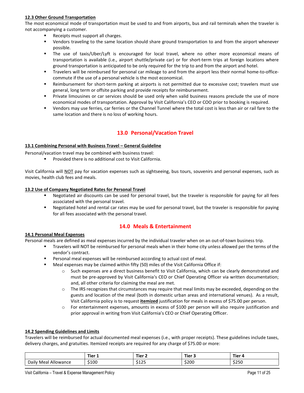#### **12.3 Other Ground Transportation**

The most economical mode of transportation must be used to and from airports, bus and rail terminals when the traveler is not accompanying a customer.

- Receipts must support all charges.
- Vendors traveling to the same location should share ground transportation to and from the airport whenever possible.
- The use of taxis/Uber/Lyft is encouraged for local travel, where no other more economical means of transportation is available (i.e., airport shuttle/private car) or for short-term trips at foreign locations where ground transportation is anticipated to be only required for the trip to and from the airport and hotel.
- Travelers will be reimbursed for personal car mileage to and from the airport less their normal home-to-officecommute if the use of a personal vehicle is the most economical.
- Reimbursement for short-term parking at airports is not permitted due to excessive cost; travelers must use general, long term or offsite parking and provide receipts for reimbursement.
- Private limousines or car services should be used only when valid business reasons preclude the use of more economical modes of transportation. Approval by Visit California's CEO or COO prior to booking is required.
- Vendors may use ferries, car ferries or the Channel Tunnel where the total cost is less than air or rail fare to the same location and there is no loss of working hours.

# <span id="page-10-0"></span>**13.0 Personal/Vacation Travel**

#### <span id="page-10-1"></span>**13.1 Combining Personal with Business Travel – General Guideline**

Personal/vacation travel may be combined with business travel:

Provided there is no additional cost to Visit California.

Visit California will NOT pay for vacation expenses such as sightseeing, bus tours, souvenirs and personal expenses, such as movies, health club fees and meals.

#### **13.2 Use of Company Negotiated Rates for Personal Travel**

- Negotiated air discounts can be used for personal travel, but the traveler is responsible for paying for all fees associated with the personal travel.
- Negotiated hotel and rental car rates may be used for personal travel, but the traveler is responsible for paying for all fees associated with the personal travel.

## <span id="page-10-2"></span>**14.0 Meals & Entertainment**

#### **14.1 Personal Meal Expenses**

Personal meals are defined as meal expenses incurred by the individual traveler when on an out-of-town business trip.

- Travelers will NOT be reimbursed for personal meals when in their home city unless allowed per the terms of the vendor's contract.
- Personal meal expenses will be reimbursed according to actual cost of meal.
- Meal expenses may be claimed within fifty (50) miles of the Visit California Office if:
	- Such expenses are a direct business benefit to Visit California, which can be clearly demonstrated and must be pre-approved by Visit California's CEO or Chief Operating Officer via written documentation; and, all other criteria for claiming the meal are met.
	- o The IRS recognizes that circumstances may require that meal limits may be exceeded, depending on the guests and location of the meal (both in domestic urban areas and international venues). As a result, Visit California policy is to request **itemized** justification for meals in excess of \$75.00 per person.
	- o For entertainment expenses, amounts in excess of \$100 per person will also require justification and prior approval in writing from Visit California's CEO or Chief Operating Officer.

#### **14.2 Spending Guidelines and Limits**

Travelers will be reimbursed for actual documented meal expenses (i.e., with proper receipts). These guidelines include taxes, delivery charges, and gratuities. Itemized receipts are required for any charge of \$75.00 or more:

|                            | Tier 1<br>_______ | $-$<br>Tier 2<br>______ | Fier 3 | Tier             |
|----------------------------|-------------------|-------------------------|--------|------------------|
| Allowance<br>Daily<br>Meal | \$100             | $AA - F$<br>ر ے د ب     | \$200  | $\cdots$<br>SZSU |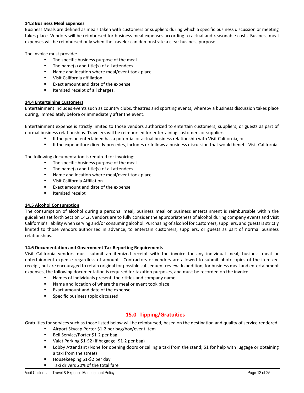#### **14.3 Business Meal Expenses**

Business Meals are defined as meals taken with customers or suppliers during which a specific business discussion or meeting takes place. Vendors will be reimbursed for business meal expenses according to actual and reasonable costs. Business meal expenses will be reimbursed only when the traveler can demonstrate a clear business purpose.

The invoice must provide:

- The specific business purpose of the meal.
- The name(s) and title(s) of all attendees.
- Name and location where meal/event took place.
- **•** Visit California affiliation.
- Exact amount and date of the expense.
- Itemized receipt of all charges.

#### **14.4 Entertaining Customers**

Entertainment includes events such as country clubs, theatres and sporting events, whereby a business discussion takes place during, immediately before or immediately after the event.

Entertainment expense is strictly limited to those vendors authorized to entertain customers, suppliers, or guests as part of normal business relationships. Travelers will be reimbursed for entertaining customers or suppliers:

- If the person entertained has a potential or actual business relationship with Visit California, or
- If the expenditure directly precedes, includes or follows a business discussion that would benefit Visit California.

The following documentation is required for invoicing:

- The specific business purpose of the meal
- $\blacksquare$  The name(s) and title(s) of all attendees
- Name and location where meal/event took place
- Visit California Affiliation
- Exact amount and date of the expense
- **I**temized receipt

#### **14.5 Alcohol Consumption**

The consumption of alcohol during a personal meal, business meal or business entertainment is reimbursable within the guidelines set forth Section 14.2**.** Vendors are to fully consider the appropriateness of alcohol during company events and Visit California's liability when serving and/or consuming alcohol. Purchasing of alcohol for customers, suppliers, and guests is strictly limited to those vendors authorized in advance, to entertain customers, suppliers, or guests as part of normal business relationships.

#### **14.6 Documentation and Government Tax Reporting Requirements**

Visit California vendors must submit an itemized receipt with the invoice for any individual meal, business meal or entertainment expense regardless of amount. Contractors or vendors are allowed to submit photocopies of the itemized receipt, but are encouraged to retain original for possible subsequent review. In addition, for business meal and entertainment expenses, the following documentation is required for taxation purposes, and must be recorded on the invoice:

- Names of individuals present, their titles and company name
- Name and location of where the meal or event took place
- Exact amount and date of the expense
- Specific business topic discussed

# <span id="page-11-0"></span>**15.0 Tipping/Gratuities**

Gratuities for services such as those listed below will be reimbursed, based on the destination and quality of service rendered:

- Airport Skycap Porter \$1-2 per bag/box/event item
- Bell Service/Porter \$1-2 per bag
- Valet Parking \$1-\$2 (if baggage, \$1-2 per bag)
- Lobby Attendant (None for opening doors or calling a taxi from the stand; \$1 for help with luggage or obtaining a taxi from the street)
- Housekeeping \$1-\$2 per day
- Taxi drivers 20% of the total fare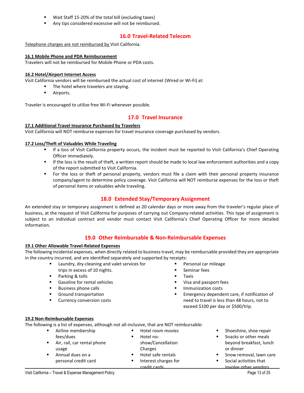- Wait Staff 15-20% of the total bill (excluding taxes)
- Any tips considered excessive will not be reimbursed.

# <span id="page-12-0"></span>**16.0 Travel-Related Telecom**

Telephone charges are not reimbursed by Visit California.

#### **16.1 Mobile Phone and PDA Reimbursement**

Travelers will not be reimbursed for Mobile Phone or PDA costs.

#### **16.2 Hotel/Airport Internet Access**

Visit California vendors will be reimbursed the actual cost of internet (Wired or Wi-Fi) at:

- The hotel where travelers are staying.
	- **Airports.**

Traveler is encouraged to utilize free Wi-Fi whenever possible.

# <span id="page-12-1"></span>**17.0 Travel Insurance**

#### **17.1 Additional Travel Insurance Purchased by Travelers**

Visit California will NOT reimburse expenses for travel insurance coverage purchased by vendors.

#### **17.2 Loss/Theft of Valuables While Traveling**

- If a loss of Visit California property occurs, the incident must be reported to Visit California's Chief Operating Officer immediately.
- If the loss is the result of theft, a written report should be made to local law enforcement authorities and a copy of the report submitted to Visit California.
- For the loss or theft of personal property, vendors must file a claim with their personal property insurance company/agent to determine policy coverage. Visit California will NOT reimburse expenses for the loss or theft of personal items or valuables while traveling.

# <span id="page-12-2"></span>**18.0 Extended Stay/Temporary Assignment**

An extended stay or temporary assignment is defined as 20 calendar days or more away from the traveler's regular place of business, at the request of Visit California for purposes of carrying out Company-related activities**.** This type of assignment is subject to an individual contract and vendor must contact Visit California's Chief Operating Officer for more detailed information.

## <span id="page-12-3"></span>**19.0 Other Reimbursable & Non-Reimbursable Expenses**

#### **19.1 Other Allowable Travel-Related Expenses**

The following incidental expenses, when directly related to business travel, may be reimbursable provided they are appropriate in the country incurred, and are identified separately and supported by receipts:

- Laundry, dry-cleaning and valet services for
- trips in excess of 10 nights.
- Parking & tolls
- Gasoline for rental vehicles
- Business phone calls
- **Ground transportation**
- **Currency conversion costs**
- Personal car mileage
- Seminar fees
- $T<sub>T</sub>$  Taxis
- **Visa and passport fees**
- Immunization costs
- **Emergency dependent care, if notification of** need to travel is less than 48 hours, not to exceed \$100 per day or \$500/trip.

#### **19.2 Non-Reimbursable Expenses**

The following is a list of expenses, although not all-inclusive, that are NOT reimbursable:

| $\blacksquare$ | Airline membership          | Hotel room movies<br>$\blacksquare$ | Shoeshine, shoe repair<br>$\blacksquare$  |
|----------------|-----------------------------|-------------------------------------|-------------------------------------------|
|                | fees/dues                   | Hotel no-<br>٠                      | Snacks or other meals<br>$\mathbf{r}$     |
|                | Air, rail, car rental phone | show/Cancellation                   | beyond breakfast, lunch                   |
|                | usage                       | Charges                             | or dinner                                 |
|                | Annual dues on a            | Hotel safe rentals<br>٠             | Snow removal, lawn care<br>$\blacksquare$ |
|                | personal credit card        | Interest charges for<br>٠           | Social activities that<br>п.              |
|                |                             | credit cards                        | involve other vendors                     |
|                |                             |                                     |                                           |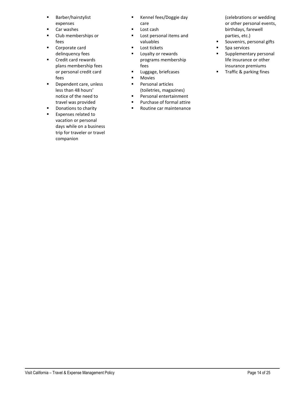- **Barber/hairstylist** expenses
- **Car washes**
- **Club memberships or** fees
- **Corporate card** delinquency fees
- Credit card rewards plans membership fees or personal credit card fees
- **Dependent care, unless** less than 48 hours' notice of the need to travel was provided
- **Donations to charity**
- **Expenses related to** vacation or personal days while on a business trip for traveler or travel companion
- **Kennel fees/Doggie day** care
- **Lost cash**
- Lost personal items and valuables
- **Lost tickets**
- **Loyalty or rewards** programs membership fees
- **Luggage, briefcases**
- **Movies**
- **Personal articles** (toiletries, magazines)
- **Personal entertainment**
- **Purchase of formal attire**
- Routine car maintenance
- (celebrations or wedding or other personal events, birthdays, farewell parties, etc.)
- **Souvenirs, personal gifts**
- **Spa services**
- **Supplementary personal** life insurance or other insurance premiums
- **Traffic & parking fines**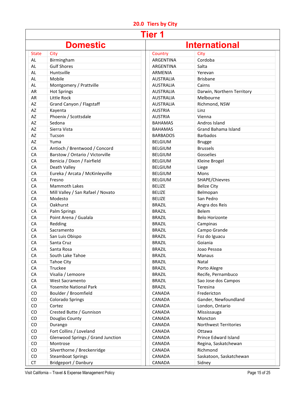# <span id="page-14-0"></span>**20.0 Tiers by City**

|              |                                   | <b>Tier 1</b>    |                                  |
|--------------|-----------------------------------|------------------|----------------------------------|
|              | <b>Domestic</b>                   |                  | <b>International</b>             |
| <b>State</b> | City                              | Country          | City                             |
| AL.          | Birmingham                        | ARGENTINA        | Cordoba                          |
| <b>AL</b>    | <b>Gulf Shores</b>                | ARGENTINA        | Salta                            |
| <b>AL</b>    | Huntsville                        | <b>ARMENIA</b>   | Yerevan                          |
| AL.          | Mobile                            | <b>AUSTRALIA</b> | <b>Brisbane</b>                  |
| <b>AL</b>    | Montgomery / Prattville           | <b>AUSTRALIA</b> | Cairns                           |
| AR           | <b>Hot Springs</b>                | <b>AUSTRALIA</b> | Darwin, Northern Territory       |
| <b>AR</b>    | Little Rock                       | <b>AUSTRALIA</b> | Melbourne                        |
| AZ           | Grand Canyon / Flagstaff          | <b>AUSTRALIA</b> | Richmond, NSW                    |
| AZ           | Kayenta                           | <b>AUSTRIA</b>   | Linz                             |
| AZ           | Phoenix / Scottsdale              | <b>AUSTRIA</b>   | Vienna                           |
| AZ           | Sedona                            | <b>BAHAMAS</b>   | Andros Island                    |
| AZ           | Sierra Vista                      | <b>BAHAMAS</b>   | <b>Grand Bahama Island</b>       |
| AZ           | Tucson                            | <b>BARBADOS</b>  | <b>Barbados</b>                  |
| AZ           | Yuma                              | <b>BELGIUM</b>   | <b>Brugge</b>                    |
| CA           | Antioch / Brentwood / Concord     | <b>BELGIUM</b>   | <b>Brussels</b>                  |
| CA           | Barstow / Ontario / Victorville   | <b>BELGIUM</b>   | Gosselies                        |
| CA           | Benicia / Dixon / Fairfield       | <b>BELGIUM</b>   | Kleine Brogel                    |
| CA           | Death Valley                      | <b>BELGIUM</b>   | Liege                            |
| CA           | Eureka / Arcata / McKinleyville   | <b>BELGIUM</b>   | Mons                             |
| CA           | Fresno                            | <b>BELGIUM</b>   | SHAPE/Chievres                   |
| CA           | <b>Mammoth Lakes</b>              | <b>BELIZE</b>    | <b>Belize City</b>               |
| CA           | Mill Valley / San Rafael / Novato | <b>BELIZE</b>    | Belmopan                         |
| CA           | Modesto                           | <b>BELIZE</b>    | San Pedro                        |
| CA           | Oakhurst                          | <b>BRAZIL</b>    | Angra dos Reis                   |
| CA           | Palm Springs                      | <b>BRAZIL</b>    | Belem                            |
| CA           | Point Arena / Gualala             | <b>BRAZIL</b>    | <b>Belo Horizonte</b>            |
| CA           | Redding                           | <b>BRAZIL</b>    | Campinas                         |
| CA           | Sacramento                        | <b>BRAZIL</b>    | Campo Grande                     |
| CA           | San Luis Obispo                   | <b>BRAZIL</b>    | Foz do Iguacu                    |
| CA           | Santa Cruz                        | <b>BRAZIL</b>    | Goiania                          |
| CA           | Santa Rosa                        | <b>BRAZIL</b>    | Joao Pessoa                      |
| CA           | South Lake Tahoe                  | <b>BRAZIL</b>    | Manaus                           |
| CA           | <b>Tahoe City</b>                 | <b>BRAZIL</b>    | Natal                            |
| CA           | Truckee                           | <b>BRAZIL</b>    | Porto Alegre                     |
| CA           | Visalia / Lemoore                 | <b>BRAZIL</b>    | Recife, Pernambuco               |
| CA           | West Sacramento                   | <b>BRAZIL</b>    | Sao Jose dos Campos              |
| CA           | <b>Yosemite National Park</b>     | <b>BRAZIL</b>    | Teresina                         |
| CO           | Boulder / Broomfield              | CANADA           | Fredericton                      |
| CO           | <b>Colorado Springs</b>           | CANADA           | Gander, Newfoundland             |
| CO           | Cortez                            | CANADA           | London, Ontario                  |
| CO           | Crested Butte / Gunnison          | CANADA           | Mississauga                      |
| CO           | Douglas County                    | CANADA           | Moncton                          |
| CO           | Durango                           | CANADA           | <b>Northwest Territories</b>     |
| CO           | Fort Collins / Loveland           | CANADA           | Ottawa                           |
| CO           | Glenwood Springs / Grand Junction | CANADA           | Prince Edward Island             |
| CO           | Montrose                          | CANADA           |                                  |
| CO           | Silverthorne / Breckenridge       | CANADA           | Regina, Saskatchewan<br>Richmond |
| CO           | <b>Steamboat Springs</b>          | CANADA           | Saskatoon, Saskatchewan          |
| <b>CT</b>    | Bridgeport / Danbury              | CANADA           | Sidney                           |
|              |                                   |                  |                                  |

Visit California – Travel & Expense Management Policy **Page 15** of 25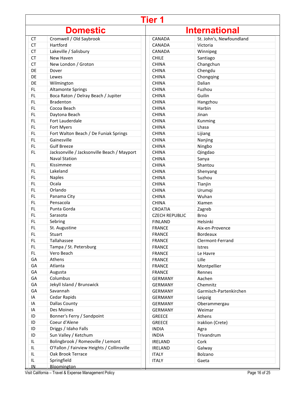| <b>Tier 1</b>                    |                                             |                       |                          |
|----------------------------------|---------------------------------------------|-----------------------|--------------------------|
| <b>International</b><br>Domestic |                                             |                       |                          |
| <b>CT</b>                        | Cromwell / Old Saybrook                     | CANADA                | St. John's, Newfoundland |
| <b>CT</b>                        | Hartford                                    | CANADA                | Victoria                 |
| <b>CT</b>                        | Lakeville / Salisbury                       | <b>CANADA</b>         | Winnipeg                 |
| <b>CT</b>                        | New Haven                                   | <b>CHILE</b>          | Santiago                 |
| <b>CT</b>                        | New London / Groton                         | <b>CHINA</b>          | Changchun                |
| DE                               | Dover                                       | <b>CHINA</b>          | Chengdu                  |
| DE                               | Lewes                                       | <b>CHINA</b>          | Chongqing                |
| DE                               | Wilmington                                  | <b>CHINA</b>          | Dalian                   |
| <b>FL</b>                        | <b>Altamonte Springs</b>                    | <b>CHINA</b>          | Fuzhou                   |
| <b>FL</b>                        | Boca Raton / Delray Beach / Jupiter         | <b>CHINA</b>          | Guilin                   |
| <b>FL</b>                        | <b>Bradenton</b>                            | <b>CHINA</b>          | Hangzhou                 |
| <b>FL</b>                        | Cocoa Beach                                 | <b>CHINA</b>          | Harbin                   |
| <b>FL</b>                        | Daytona Beach                               | <b>CHINA</b>          | Jinan                    |
| FL.                              | Fort Lauderdale                             | <b>CHINA</b>          | Kunming                  |
| FL.                              | Fort Myers                                  | <b>CHINA</b>          | Lhasa                    |
| FL.                              | Fort Walton Beach / De Funiak Springs       | <b>CHINA</b>          | Lijiang                  |
| <b>FL</b>                        | Gainesville                                 | <b>CHINA</b>          | Nanjing                  |
| <b>FL</b>                        | <b>Gulf Breeze</b>                          | <b>CHINA</b>          | Ningbo                   |
| FL.                              | Jacksonville / Jacksonville Beach / Mayport | <b>CHINA</b>          | Qingdao                  |
|                                  | <b>Naval Station</b>                        | <b>CHINA</b>          | Sanya                    |
| <b>FL</b>                        | Kissimmee                                   | <b>CHINA</b>          | Shantou                  |
| <b>FL</b>                        | Lakeland                                    | <b>CHINA</b>          | Shenyang                 |
| <b>FL</b>                        | <b>Naples</b>                               | <b>CHINA</b>          | Suzhou                   |
| FL.                              | Ocala                                       | <b>CHINA</b>          | Tianjin                  |
| FL.                              | Orlando                                     | <b>CHINA</b>          | Urumqi                   |
| FL.                              | Panama City                                 | <b>CHINA</b>          | Wuhan                    |
| <b>FL</b>                        | Pensacola                                   | <b>CHINA</b>          | Xiamen                   |
| <b>FL</b>                        | Punta Gorda                                 | <b>CROATIA</b>        | Zagreb                   |
| <b>FL</b>                        | Sarasota                                    | <b>CZECH REPUBLIC</b> | <b>Brno</b>              |
| <b>FL</b>                        | Sebring                                     | <b>FINLAND</b>        | Helsinki                 |
| FL.                              | St. Augustine                               | <b>FRANCE</b>         | Aix-en-Provence          |
| FL                               | Stuart                                      | <b>FRANCE</b>         | <b>Bordeaux</b>          |
| FL.                              | Tallahassee                                 | <b>FRANCE</b>         | Clermont-Ferrand         |
| FL.                              | Tampa / St. Petersburg                      | <b>FRANCE</b>         | <b>Istres</b>            |
| FL.                              | Vero Beach                                  | <b>FRANCE</b>         | Le Havre                 |
| GA                               | Athens                                      | <b>FRANCE</b>         | Lille                    |
| GA                               | Atlanta                                     | <b>FRANCE</b>         | Montpellier              |
| GA                               | Augusta                                     | <b>FRANCE</b>         | Rennes                   |
| GA                               | Columbus                                    | <b>GERMANY</b>        | Aachen                   |
| GA                               | Jekyll Island / Brunswick                   | <b>GERMANY</b>        | Chemnitz                 |
| GA                               | Savannah                                    | <b>GERMANY</b>        | Garmisch-Partenkirchen   |
| IA                               | Cedar Rapids                                | <b>GERMANY</b>        | Leipzig                  |
| IA                               | <b>Dallas County</b>                        | <b>GERMANY</b>        | Oberammergau             |
| IA                               | Des Moines                                  | <b>GERMANY</b>        | Weimar                   |
| ID                               | Bonner's Ferry / Sandpoint                  | <b>GREECE</b>         | Athens                   |
| ID                               | Coeur d'Alene                               | <b>GREECE</b>         | Iraklion (Crete)         |
| ID                               | Driggs / Idaho Falls                        | <b>INDIA</b>          | Agra                     |
| ID                               | Sun Valley / Ketchum                        | <b>INDIA</b>          | Trivandrum               |
| IL.                              | Bolingbrook / Romeoville / Lemont           | <b>IRELAND</b>        | Cork                     |
| IL                               | O'Fallon / Fairview Heights / Collinsville  | <b>IRELAND</b>        | Galway                   |
| IL                               | Oak Brook Terrace                           | <b>ITALY</b>          | Bolzano                  |
| IL                               | Springfield                                 | <b>ITALY</b>          | Gaeta                    |
| IN.                              | Bloomington                                 |                       |                          |

Visit California – Travel & Expense Management Policy Page 16 of 25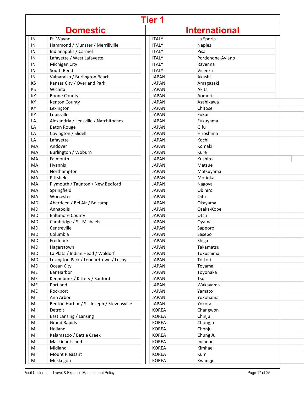| <b>Tier 1</b> |                                           |              |                      |  |
|---------------|-------------------------------------------|--------------|----------------------|--|
|               | <b>Domestic</b>                           |              | <b>International</b> |  |
| IN            | Ft. Wayne                                 | <b>ITALY</b> | La Spezia            |  |
| IN            | Hammond / Munster / Merrillville          | <b>ITALY</b> | <b>Naples</b>        |  |
| IN            | Indianapolis / Carmel                     | <b>ITALY</b> | Pisa                 |  |
| IN            | Lafayette / West Lafayette                | <b>ITALY</b> | Pordenone-Aviano     |  |
| IN            | Michigan City                             | <b>ITALY</b> | Ravenna              |  |
| IN            | South Bend                                | <b>ITALY</b> | Vicenza              |  |
| IN            | Valparaiso / Burlington Beach             | <b>JAPAN</b> | Akashi               |  |
| ΚS            | Kansas City / Overland Park               | <b>JAPAN</b> | Amagasaki            |  |
| KS            | Wichita                                   | <b>JAPAN</b> | Akita                |  |
| KY            | <b>Boone County</b>                       | <b>JAPAN</b> | Aomori               |  |
| КY            | Kenton County                             | <b>JAPAN</b> | Asahikawa            |  |
| КY            | Lexington                                 | <b>JAPAN</b> | Chitose              |  |
| КY            | Louisville                                | <b>JAPAN</b> | Fukui                |  |
| LA            | Alexandria / Leesville / Natchitoches     | <b>JAPAN</b> | Fukuyama             |  |
| LA            | <b>Baton Rouge</b>                        | <b>JAPAN</b> | Gifu                 |  |
| LA            | Covington / Slidell                       | <b>JAPAN</b> | Hiroshima            |  |
| LA            | Lafayette                                 | <b>JAPAN</b> | Kochi                |  |
| MA            | Andover                                   | <b>JAPAN</b> | Komaki               |  |
| MA            | Burlington / Woburn                       | <b>JAPAN</b> | Kure                 |  |
| MA            | Falmouth                                  | <b>JAPAN</b> | Kushiro              |  |
| MA            | Hyannis                                   | <b>JAPAN</b> | Matsue               |  |
| MA            | Northampton                               | <b>JAPAN</b> | Matsuyama            |  |
| MA            | Pittsfield                                | <b>JAPAN</b> | Morioka              |  |
| MA            | Plymouth / Taunton / New Bedford          | <b>JAPAN</b> | Nagoya               |  |
| MA            | Springfield                               | <b>JAPAN</b> | Obihiro              |  |
| MA            | Worcester                                 | <b>JAPAN</b> | Oita                 |  |
| MD            | Aberdeen / Bel Air / Belcamp              | <b>JAPAN</b> | Okayama              |  |
| MD            | Annapolis                                 | <b>JAPAN</b> | Osaka-Kobe           |  |
| MD            | <b>Baltimore County</b>                   | <b>JAPAN</b> | Otsu                 |  |
| MD            | Cambridge / St. Michaels                  | <b>JAPAN</b> | Oyama                |  |
| MD            | Centreville                               | <b>JAPAN</b> | Sapporo              |  |
| MD            | Columbia                                  | <b>JAPAN</b> | Sasebo               |  |
| MD            | Frederick                                 | <b>JAPAN</b> | Shiga                |  |
| MD            | Hagerstown                                | <b>JAPAN</b> | Takamatsu            |  |
| MD            | La Plata / Indian Head / Waldorf          | <b>JAPAN</b> | Tokushima            |  |
| MD            | Lexington Park / Leonardtown / Lusby      | <b>JAPAN</b> | Tottori              |  |
| MD            | Ocean City                                | <b>JAPAN</b> | Toyama               |  |
| ME            | <b>Bar Harbor</b>                         | <b>JAPAN</b> | Toyonaka             |  |
| ME            | Kennebunk / Kittery / Sanford             | <b>JAPAN</b> | Tsu                  |  |
| ME            | Portland                                  | <b>JAPAN</b> | Wakayama             |  |
| ME            | Rockport                                  | <b>JAPAN</b> | Yamato               |  |
| MI            | Ann Arbor                                 | <b>JAPAN</b> | Yokohama             |  |
| MI            | Benton Harbor / St. Joseph / Stevensville | <b>JAPAN</b> | Yokota               |  |
| MI            | Detroit                                   | <b>KOREA</b> | Changwon             |  |
| MI            | East Lansing / Lansing                    | <b>KOREA</b> | Chinju               |  |
| MI            | <b>Grand Rapids</b>                       | <b>KOREA</b> | Chongju              |  |
| MI            | Holland                                   | <b>KOREA</b> | Chonju               |  |
| MI            | Kalamazoo / Battle Creek                  | <b>KOREA</b> | Chung Ju             |  |
| MI            | Mackinac Island                           | <b>KOREA</b> | Incheon              |  |
| MI            | Midland                                   | <b>KOREA</b> | Kimhae               |  |
| MI            | Mount Pleasant                            | <b>KOREA</b> | Kumi                 |  |
| MI            | Muskegon                                  | <b>KOREA</b> | Kwangju              |  |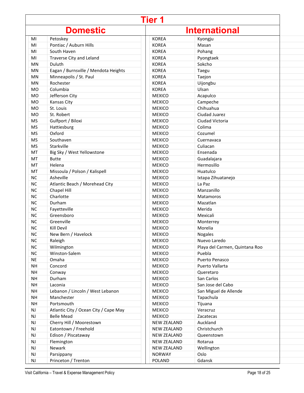|               | <b>Tier 1</b>                         |                    |                                |  |
|---------------|---------------------------------------|--------------------|--------------------------------|--|
|               | <b>Domestic</b>                       |                    | <b>International</b>           |  |
| MI            | Petoskey                              | <b>KOREA</b>       | Kyongju                        |  |
| MI            | Pontiac / Auburn Hills                | <b>KOREA</b>       | Masan                          |  |
| MI            | South Haven                           | <b>KOREA</b>       | Pohang                         |  |
| MI            | Traverse City and Leland              | <b>KOREA</b>       | Pyongtaek                      |  |
| MN            | Duluth                                | <b>KOREA</b>       | Sokcho                         |  |
| MN            | Eagan / Burnsville / Mendota Heights  | <b>KOREA</b>       | Taegu                          |  |
| MN            | Minneapolis / St. Paul                | <b>KOREA</b>       | Taejon                         |  |
| MN            | Rochester                             | <b>KOREA</b>       | Uijongbu                       |  |
| MO            | Columbia                              | <b>KOREA</b>       | Ulsan                          |  |
| MO            | Jefferson City                        | <b>MEXICO</b>      | Acapulco                       |  |
| <b>MO</b>     | Kansas City                           | <b>MEXICO</b>      | Campeche                       |  |
| <b>MO</b>     | St. Louis                             | <b>MEXICO</b>      | Chihuahua                      |  |
| MO            | St. Robert                            | <b>MEXICO</b>      | Ciudad Juarez                  |  |
| <b>MS</b>     | Gulfport / Biloxi                     | <b>MEXICO</b>      | Ciudad Victoria                |  |
| <b>MS</b>     | Hattiesburg                           | <b>MEXICO</b>      | Colima                         |  |
| <b>MS</b>     | Oxford                                | <b>MEXICO</b>      | Cozumel                        |  |
| <b>MS</b>     | Southaven                             | <b>MEXICO</b>      | Cuernavaca                     |  |
| <b>MS</b>     | Starkville                            | <b>MEXICO</b>      | Culiacan                       |  |
| MT            | Big Sky / West Yellowstone            | <b>MEXICO</b>      | Ensenada                       |  |
| MT            | <b>Butte</b>                          | <b>MEXICO</b>      | Guadalajara                    |  |
| MT            | Helena                                | <b>MEXICO</b>      | Hermosillo                     |  |
| MT            | Missoula / Polson / Kalispell         | <b>MEXICO</b>      | Huatulco                       |  |
| <b>NC</b>     | Asheville                             | <b>MEXICO</b>      | Ixtapa Zihuatanejo             |  |
| <b>NC</b>     | Atlantic Beach / Morehead City        | <b>MEXICO</b>      | La Paz                         |  |
| <b>NC</b>     | Chapel Hill                           | <b>MEXICO</b>      | Manzanillo                     |  |
| <b>NC</b>     | Charlotte                             | <b>MEXICO</b>      | <b>Matamoros</b>               |  |
| <b>NC</b>     | Durham                                | <b>MEXICO</b>      | Mazatlan                       |  |
| <b>NC</b>     | Fayetteville                          | <b>MEXICO</b>      | Merida                         |  |
| <b>NC</b>     | Greensboro                            | <b>MEXICO</b>      | Mexicali                       |  |
| <b>NC</b>     | Greenville                            | <b>MEXICO</b>      | Monterrey                      |  |
| <b>NC</b>     | Kill Devil                            | <b>MEXICO</b>      | Morelia                        |  |
| NC            | New Bern / Havelock                   | <b>MEXICO</b>      | Nogales                        |  |
| <b>NC</b>     | Raleigh                               | <b>MEXICO</b>      | Nuevo Laredo                   |  |
| <b>NC</b>     | Wilmington                            | <b>MEXICO</b>      | Playa del Carmen, Quintana Roo |  |
| <b>NC</b>     | Winston-Salem                         | <b>MEXICO</b>      | Puebla                         |  |
| NE            | Omaha                                 | <b>MEXICO</b>      | Puerto Penasco                 |  |
| <b>NH</b>     | Concord                               | <b>MEXICO</b>      | Puerto Vallarta                |  |
| NH            | Conway                                | <b>MEXICO</b>      | Queretaro                      |  |
| <b>NH</b>     | Durham                                | <b>MEXICO</b>      | San Carlos                     |  |
| NH            | Laconia                               | <b>MEXICO</b>      | San Jose del Cabo              |  |
| <b>NH</b>     | Lebanon / Lincoln / West Lebanon      | <b>MEXICO</b>      | San Miguel de Allende          |  |
| NH            | Manchester                            | <b>MEXICO</b>      | Tapachula                      |  |
| NH            | Portsmouth                            | <b>MEXICO</b>      |                                |  |
|               |                                       | <b>MEXICO</b>      | Tijuana<br>Veracruz            |  |
| NJ            | Atlantic City / Ocean City / Cape May |                    |                                |  |
| NJ            | <b>Belle Mead</b>                     | <b>MEXICO</b>      | Zacatecas                      |  |
| <b>NJ</b>     | Cherry Hill / Moorestown              | <b>NEW ZEALAND</b> | Auckland                       |  |
| <b>NJ</b>     | Eatontown / Freehold                  | <b>NEW ZEALAND</b> | Christchurch                   |  |
| <b>NJ</b>     | Edison / Piscataway                   | <b>NEW ZEALAND</b> | Queenstown                     |  |
| <b>NJ</b>     | Flemington                            | <b>NEW ZEALAND</b> | Rotarua                        |  |
| $\mathsf{NJ}$ | Newark                                | <b>NEW ZEALAND</b> | Wellington                     |  |
| <b>NJ</b>     | Parsippany                            | <b>NORWAY</b>      | Oslo                           |  |
| NJ            | Princeton / Trenton                   | <b>POLAND</b>      | Gdansk                         |  |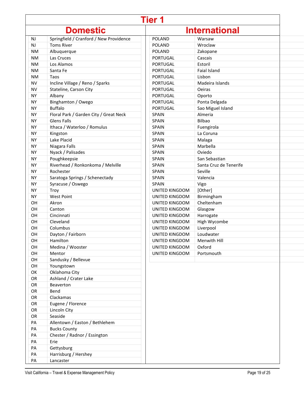| Tier 1    |                                         |                       |                        |  |
|-----------|-----------------------------------------|-----------------------|------------------------|--|
|           | <b>Domestic</b>                         |                       | <b>International</b>   |  |
| <b>NJ</b> | Springfield / Cranford / New Providence | <b>POLAND</b>         | Warsaw                 |  |
| NJ        | <b>Toms River</b>                       | <b>POLAND</b>         | Wroclaw                |  |
| <b>NM</b> | Albuquerque                             | <b>POLAND</b>         | Zakopane               |  |
| <b>NM</b> | Las Cruces                              | PORTUGAL              | Cascais                |  |
| <b>NM</b> | Los Alamos                              | PORTUGAL              | Estoril                |  |
| <b>NM</b> | Santa Fe                                | PORTUGAL              | Faial Island           |  |
| <b>NM</b> | Taos                                    | <b>PORTUGAL</b>       | Lisbon                 |  |
| <b>NV</b> | Incline Village / Reno / Sparks         | PORTUGAL              | Madeira Islands        |  |
| <b>NV</b> | Stateline, Carson City                  | PORTUGAL              | Oeiras                 |  |
| <b>NY</b> | Albany                                  | PORTUGAL              | Oporto                 |  |
| <b>NY</b> | Binghamton / Owego                      | PORTUGAL              | Ponta Delgada          |  |
| <b>NY</b> | <b>Buffalo</b>                          | PORTUGAL              | Sao Miguel Island      |  |
| <b>NY</b> | Floral Park / Garden City / Great Neck  | <b>SPAIN</b>          | Almeria                |  |
| <b>NY</b> | <b>Glens Falls</b>                      | <b>SPAIN</b>          | Bilbao                 |  |
| <b>NY</b> | Ithaca / Waterloo / Romulus             | <b>SPAIN</b>          | Fuengirola             |  |
| <b>NY</b> | Kingston                                | <b>SPAIN</b>          | La Coruna              |  |
| <b>NY</b> | Lake Placid                             | <b>SPAIN</b>          | Malaga                 |  |
| <b>NY</b> | Niagara Falls                           | SPAIN                 | Marbella               |  |
| <b>NY</b> | Nyack / Palisades                       | <b>SPAIN</b>          | Oviedo                 |  |
| <b>NY</b> | Poughkeepsie                            | <b>SPAIN</b>          | San Sebastian          |  |
| <b>NY</b> | Riverhead / Ronkonkoma / Melville       | SPAIN                 | Santa Cruz de Tenerife |  |
| <b>NY</b> | Rochester                               | <b>SPAIN</b>          | Seville                |  |
| <b>NY</b> | Saratoga Springs / Schenectady          | <b>SPAIN</b>          | Valencia               |  |
| <b>NY</b> | Syracuse / Oswego                       | <b>SPAIN</b>          | Vigo                   |  |
| <b>NY</b> | Troy                                    | UNITED KINGDOM        | [Other]                |  |
| <b>NY</b> | <b>West Point</b>                       | UNITED KINGDOM        | Birmingham             |  |
| OH        | Akron                                   | UNITED KINGDOM        | Cheltenham             |  |
| OH        | Canton                                  | UNITED KINGDOM        | Glasgow                |  |
| OH        | Cincinnati                              | UNITED KINGDOM        | Harrogate              |  |
| OH        | Cleveland                               | UNITED KINGDOM        | High Wycombe           |  |
| OH        | Columbus                                | <b>UNITED KINGDOM</b> |                        |  |
| OH        | Dayton / Fairborn                       |                       | Liverpool              |  |
|           |                                         | UNITED KINGDOM        | Loudwater              |  |
| OH        | Hamilton                                | UNITED KINGDOM        | Menwith Hill           |  |
| OH        | Medina / Wooster                        | UNITED KINGDOM        | Oxford                 |  |
| OH        | Mentor                                  | UNITED KINGDOM        | Portsmouth             |  |
| OH        | Sandusky / Bellevue                     |                       |                        |  |
| OH        | Youngstown                              |                       |                        |  |
| OK        | Oklahoma City                           |                       |                        |  |
| OR        | Ashland / Crater Lake                   |                       |                        |  |
| OR        | Beaverton                               |                       |                        |  |
| OR        | Bend                                    |                       |                        |  |
| OR        | Clackamas                               |                       |                        |  |
| OR        | Eugene / Florence                       |                       |                        |  |
| OR        | Lincoln City                            |                       |                        |  |
| OR        | Seaside                                 |                       |                        |  |
| PA        | Allentown / Easton / Bethlehem          |                       |                        |  |
| PA        | <b>Bucks County</b>                     |                       |                        |  |
| PA        | Chester / Radnor / Essington            |                       |                        |  |
| PA        | Erie                                    |                       |                        |  |
| PA        | Gettysburg                              |                       |                        |  |
| PA        | Harrisburg / Hershey                    |                       |                        |  |
| PA        | Lancaster                               |                       |                        |  |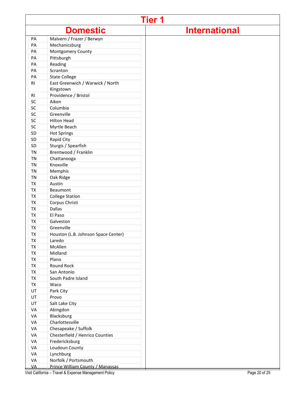|           |                                     | <b>Tier 1</b>        |
|-----------|-------------------------------------|----------------------|
|           | <b>Domestic</b>                     | <b>International</b> |
| PA        | Malvern / Frazer / Berwyn           |                      |
| PA        | Mechanicsburg                       |                      |
| PA        | Montgomery County                   |                      |
| PA        | Pittsburgh                          |                      |
| PA        | Reading                             |                      |
| PA        | Scranton                            |                      |
| PA        | <b>State College</b>                |                      |
| RI        | East Greenwich / Warwick / North    |                      |
|           | Kingstown                           |                      |
| <b>RI</b> | Providence / Bristol                |                      |
| SC        | Aiken                               |                      |
| SC        | Columbia                            |                      |
| SC        | Greenville                          |                      |
| SC        | <b>Hilton Head</b>                  |                      |
| SC        | Myrtle Beach                        |                      |
| SD        | <b>Hot Springs</b>                  |                      |
| SD        | Rapid City                          |                      |
| SD        | Sturgis / Spearfish                 |                      |
| <b>TN</b> | Brentwood / Franklin                |                      |
| <b>TN</b> | Chattanooga                         |                      |
| TN        | Knoxville                           |                      |
| <b>TN</b> | Memphis                             |                      |
| <b>TN</b> | Oak Ridge                           |                      |
| TX        | Austin                              |                      |
| TX        | Beaumont                            |                      |
| TX        | <b>College Station</b>              |                      |
| <b>TX</b> | Corpus Christi                      |                      |
| <b>TX</b> | <b>Dallas</b>                       |                      |
| <b>TX</b> | El Paso                             |                      |
| <b>TX</b> | Galveston                           |                      |
| TX        | Greenville                          |                      |
| <b>TX</b> | Houston (L.B. Johnson Space Center) |                      |
| TX        | Laredo                              |                      |
| TX        | McAllen                             |                      |
| TX        | Midland                             |                      |
| TX        | Plano                               |                      |
| TX        | Round Rock                          |                      |
| <b>TX</b> | San Antonio                         |                      |
| TX        | South Padre Island                  |                      |
| TX        | Waco                                |                      |
| UT        | Park City                           |                      |
| UT        | Provo                               |                      |
| UT        | Salt Lake City                      |                      |
| VA        | Abingdon                            |                      |
| VA        | Blacksburg                          |                      |
| VA        | Charlottesville                     |                      |
| VA        | Chesapeake / Suffolk                |                      |
| VA        | Chesterfield / Henrico Counties     |                      |
| VA        | Fredericksburg                      |                      |
| VA        | Loudoun County                      |                      |
| VA        | Lynchburg                           |                      |
| VA        | Norfolk / Portsmouth                |                      |
| <b>VA</b> | Prince William County / Manassas    |                      |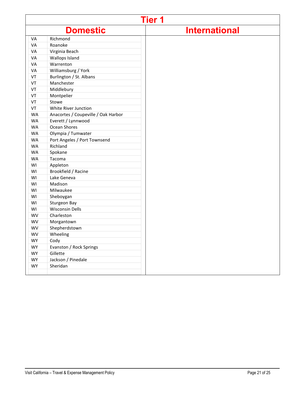|           |                                     | <b>Tier 1</b>        |
|-----------|-------------------------------------|----------------------|
|           | <b>Domestic</b>                     | <b>International</b> |
| VA        | Richmond                            |                      |
| VA        | Roanoke                             |                      |
| VA        | Virginia Beach                      |                      |
| VA        | Wallops Island                      |                      |
| VA        | Warrenton                           |                      |
| VA        | Williamsburg / York                 |                      |
| VT        | Burlington / St. Albans             |                      |
| VT        | Manchester                          |                      |
| VT        | Middlebury                          |                      |
| VT        | Montpelier                          |                      |
| VT        | Stowe                               |                      |
| VT        | White River Junction                |                      |
| <b>WA</b> | Anacortes / Coupeville / Oak Harbor |                      |
| <b>WA</b> | Everett / Lynnwood                  |                      |
| <b>WA</b> | Ocean Shores                        |                      |
| <b>WA</b> | Olympia / Tumwater                  |                      |
| <b>WA</b> | Port Angeles / Port Townsend        |                      |
| WA        | Richland                            |                      |
| <b>WA</b> | Spokane                             |                      |
| <b>WA</b> | Tacoma                              |                      |
| WI        | Appleton                            |                      |
| WI        | Brookfield / Racine                 |                      |
| WI        | Lake Geneva                         |                      |
| WI        | Madison                             |                      |
| WI        | Milwaukee                           |                      |
| WI        | Sheboygan                           |                      |
| WI        | Sturgeon Bay                        |                      |
| WI        | <b>Wisconsin Dells</b>              |                      |
| <b>WV</b> | Charleston                          |                      |
| WV        | Morgantown                          |                      |
| WV        | Shepherdstown                       |                      |
| WV        | Wheeling                            |                      |
| <b>WY</b> | Cody                                |                      |
| <b>WY</b> | Evanston / Rock Springs             |                      |
| WY        | Gillette                            |                      |
| WY        | Jackson / Pinedale                  |                      |
| WY        | Sheridan                            |                      |
|           |                                     |                      |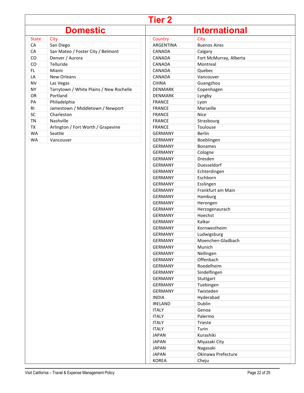# **Tier 2**

# **Domestic**

| State | City                                    |
|-------|-----------------------------------------|
| СA    | San Diego                               |
| СA    | San Mateo / Foster City / Belmont       |
| CO    | Denver / Aurora                         |
| CO    | Telluride                               |
| FL    | Miami                                   |
| I A   | New Orleans                             |
| NV    | Las Vegas                               |
| NΥ    | Tarrytown / White Plains / New Rochelle |
| OR    | Portland                                |
| PА    | Philadelphia                            |
| RI    | Jamestown / Middletown / Newport        |
| SC    | Charleston                              |
| ΤN    | Nashville                               |
| TX    | Arlington / Fort Worth / Grapevine      |
| WA    | Seattle                                 |
| WA    | Vancouver                               |

| <b>International</b> |                        |  |  |  |  |
|----------------------|------------------------|--|--|--|--|
| Country              | City                   |  |  |  |  |
| ARGENTINA            | <b>Buenos Aires</b>    |  |  |  |  |
| CANADA               | Calgary                |  |  |  |  |
| CANADA               | Fort McMurray, Alberta |  |  |  |  |
| <b>CANADA</b>        | Montreal               |  |  |  |  |
| CANADA               | Quebec                 |  |  |  |  |
| CANADA               | Vancouver              |  |  |  |  |
| <b>CHINA</b>         | Guangzhou              |  |  |  |  |
| <b>DENMARK</b>       | Copenhagen             |  |  |  |  |
| <b>DENMARK</b>       | Lyngby                 |  |  |  |  |
| <b>FRANCE</b>        | Lyon                   |  |  |  |  |
| <b>FRANCE</b>        | Marseille              |  |  |  |  |
| <b>FRANCE</b>        | <b>Nice</b>            |  |  |  |  |
| <b>FRANCE</b>        | Strasbourg             |  |  |  |  |
| <b>FRANCE</b>        | Toulouse               |  |  |  |  |
| <b>GERMANY</b>       | <b>Berlin</b>          |  |  |  |  |
| <b>GERMANY</b>       | Boeblingen             |  |  |  |  |
| <b>GERMANY</b>       | <b>Bonames</b>         |  |  |  |  |
| <b>GERMANY</b>       | Cologne                |  |  |  |  |
| <b>GERMANY</b>       | Dresden                |  |  |  |  |
| <b>GERMANY</b>       | Duesseldorf            |  |  |  |  |
| <b>GERMANY</b>       | Echterdingen           |  |  |  |  |
| <b>GERMANY</b>       | Eschborn               |  |  |  |  |
| <b>GERMANY</b>       | Esslingen              |  |  |  |  |
| GERMANY              | Frankfurt am Main      |  |  |  |  |
| GERMANY              | Hamburg                |  |  |  |  |
| GERMANY              | Herongen               |  |  |  |  |
| <b>GERMANY</b>       | Herzogenaurach         |  |  |  |  |
| <b>GERMANY</b>       | Hoechst                |  |  |  |  |
| <b>GERMANY</b>       | Kalkar                 |  |  |  |  |
| <b>GERMANY</b>       | Kornwestheim           |  |  |  |  |
| <b>GERMANY</b>       | Ludwigsburg            |  |  |  |  |
| <b>GERMANY</b>       | Moenchen-Gladbach      |  |  |  |  |
| <b>GERMANY</b>       | Munich                 |  |  |  |  |
| GERMANY              | Nellingen              |  |  |  |  |
| <b>GERMANY</b>       | Offenbach              |  |  |  |  |
| <b>GERMANY</b>       | Roedelheim             |  |  |  |  |
| <b>GERMANY</b>       | Sindelfingen           |  |  |  |  |
| <b>GERMANY</b>       |                        |  |  |  |  |
| <b>GERMANY</b>       | Stuttgart              |  |  |  |  |
| <b>GERMANY</b>       | Tuebingen<br>Twisteden |  |  |  |  |
| <b>INDIA</b>         | Hyderabad              |  |  |  |  |
|                      | Dublin                 |  |  |  |  |
| <b>IRELAND</b>       |                        |  |  |  |  |
| <b>ITALY</b>         | Genoa                  |  |  |  |  |
| <b>ITALY</b>         | Palermo                |  |  |  |  |
| <b>ITALY</b>         | <b>Trieste</b>         |  |  |  |  |
| <b>ITALY</b>         | Turin                  |  |  |  |  |
| JAPAN                | Kurashiki              |  |  |  |  |
| <b>JAPAN</b>         | Miyazaki City          |  |  |  |  |
| <b>JAPAN</b>         | Nagasaki               |  |  |  |  |
| JAPAN                | Okinawa Prefecture     |  |  |  |  |
| <b>KOREA</b>         | Cheju                  |  |  |  |  |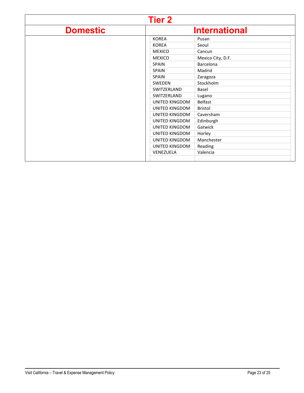|                 | <b>Tier 2</b>         |                      |
|-----------------|-----------------------|----------------------|
| <b>Domestic</b> |                       | <b>International</b> |
|                 | <b>KOREA</b>          | Pusan                |
|                 | <b>KOREA</b>          | Seoul                |
|                 | <b>MEXICO</b>         | Cancun               |
|                 | <b>MEXICO</b>         | Mexico City, D.F.    |
|                 | <b>SPAIN</b>          | Barcelona            |
|                 | <b>SPAIN</b>          | Madrid               |
|                 | <b>SPAIN</b>          | Zaragoza             |
|                 | <b>SWEDEN</b>         | Stockholm            |
|                 | SWITZERLAND           | Basel                |
|                 | SWITZERLAND           | Lugano               |
|                 | <b>UNITED KINGDOM</b> | <b>Belfast</b>       |
|                 | UNITED KINGDOM        | <b>Bristol</b>       |
|                 | UNITED KINGDOM        | Caversham            |
|                 | UNITED KINGDOM        | Edinburgh            |
|                 | UNITED KINGDOM        | Gatwick              |
|                 | UNITED KINGDOM        | Horley               |
|                 | UNITED KINGDOM        | Manchester           |
|                 | UNITED KINGDOM        | Reading              |
|                 | VENEZUELA             | Valencia             |
|                 |                       |                      |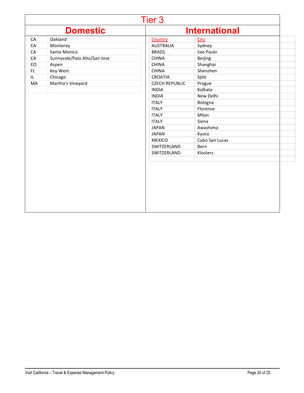|     |                              | Tier 3                |                      |  |
|-----|------------------------------|-----------------------|----------------------|--|
|     | <b>Domestic</b>              |                       | <b>International</b> |  |
| CA  | Oakland                      | Country               | <b>City</b>          |  |
| CA  | Monterey                     | <b>AUSTRALIA</b>      | Sydney               |  |
| CA  | Santa Monica                 | <b>BRAZIL</b>         | Sao Paulo            |  |
| CA  | Sunnyvale/Palo Alto/San Jose | <b>CHINA</b>          | Beijing              |  |
| CO  | Aspen                        | <b>CHINA</b>          | Shanghai             |  |
| FL. | Key West                     | <b>CHINA</b>          | Shenzhen             |  |
| IL. | Chicago                      | <b>CROATIA</b>        | Split                |  |
| MA  | Martha's Vineyard            | <b>CZECH REPUBLIC</b> | Prague               |  |
|     |                              | <b>INDIA</b>          | Kolkata              |  |
|     |                              | <b>INDIA</b>          | New Delhi            |  |
|     |                              | <b>ITALY</b>          | Bologna              |  |
|     |                              | <b>ITALY</b>          | Florence             |  |
|     |                              | <b>ITALY</b>          | Milan                |  |
|     |                              | <b>ITALY</b>          | Siena                |  |
|     |                              | <b>JAPAN</b>          | Awashima             |  |
|     |                              | <b>JAPAN</b>          | Kyoto                |  |
|     |                              | <b>MEXICO</b>         | Cabo San Lucas       |  |
|     |                              | SWITZERLAND           | Bern                 |  |
|     |                              | SWITZERLAND           | Klosters             |  |
|     |                              |                       |                      |  |
|     |                              |                       |                      |  |
|     |                              |                       |                      |  |
|     |                              |                       |                      |  |
|     |                              |                       |                      |  |
|     |                              |                       |                      |  |
|     |                              |                       |                      |  |
|     |                              |                       |                      |  |
|     |                              |                       |                      |  |